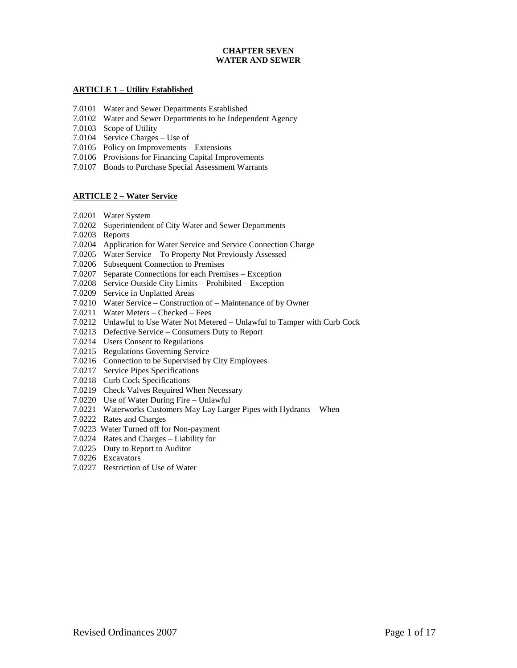# **CHAPTER SEVEN WATER AND SEWER**

### **ARTICLE 1 – Utility Established**

- 7.0101 Water and Sewer Departments Established
- 7.0102 Water and Sewer Departments to be Independent Agency
- 7.0103 Scope of Utility
- 7.0104 Service Charges Use of
- 7.0105 Policy on Improvements Extensions
- 7.0106 Provisions for Financing Capital Improvements
- 7.0107 Bonds to Purchase Special Assessment Warrants

## **ARTICLE 2 – Water Service**

- 7.0201 Water System
- 7.0202 Superintendent of City Water and Sewer Departments
- 7.0203 Reports
- 7.0204 Application for Water Service and Service Connection Charge
- 7.0205 Water Service To Property Not Previously Assessed
- 7.0206 Subsequent Connection to Premises
- 7.0207 Separate Connections for each Premises Exception
- 7.0208 Service Outside City Limits Prohibited Exception
- 7.0209 Service in Unplatted Areas
- 7.0210 Water Service Construction of Maintenance of by Owner
- 7.0211 Water Meters Checked Fees
- 7.0212 Unlawful to Use Water Not Metered Unlawful to Tamper with Curb Cock
- 7.0213 Defective Service Consumers Duty to Report
- 7.0214 Users Consent to Regulations
- 7.0215 Regulations Governing Service
- 7.0216 Connection to be Supervised by City Employees
- 7.0217 Service Pipes Specifications
- 7.0218 Curb Cock Specifications
- 7.0219 Check Valves Required When Necessary
- 7.0220 Use of Water During Fire Unlawful
- 7.0221 Waterworks Customers May Lay Larger Pipes with Hydrants When
- 7.0222 Rates and Charges
- 7.0223 Water Turned off for Non-payment
- 7.0224 Rates and Charges Liability for
- 7.0225 Duty to Report to Auditor
- 7.0226 Excavators
- 7.0227 Restriction of Use of Water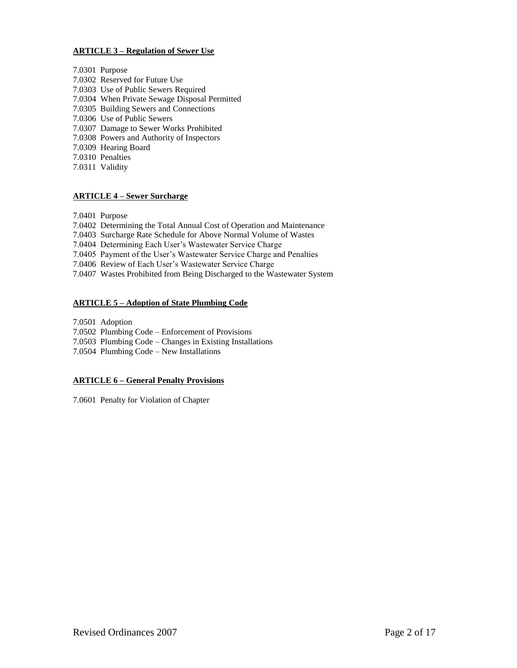# **ARTICLE 3 – Regulation of Sewer Use**

7.0301 Purpose 7.0302 Reserved for Future Use 7.0303 Use of Public Sewers Required 7.0304 When Private Sewage Disposal Permitted 7.0305 Building Sewers and Connections 7.0306 Use of Public Sewers 7.0307 Damage to Sewer Works Prohibited 7.0308 Powers and Authority of Inspectors 7.0309 Hearing Board 7.0310 Penalties 7.0311 Validity

# **ARTICLE 4 – Sewer Surcharge**

7.0401 Purpose

7.0402 Determining the Total Annual Cost of Operation and Maintenance

7.0403 Surcharge Rate Schedule for Above Normal Volume of Wastes

7.0404 Determining Each User's Wastewater Service Charge

7.0405 Payment of the User's Wastewater Service Charge and Penalties

7.0406 Review of Each User's Wastewater Service Charge

7.0407 Wastes Prohibited from Being Discharged to the Wastewater System

## **ARTICLE 5 – Adoption of State Plumbing Code**

7.0501 Adoption

7.0502 Plumbing Code – Enforcement of Provisions

7.0503 Plumbing Code – Changes in Existing Installations

7.0504 Plumbing Code – New Installations

# **ARTICLE 6 – General Penalty Provisions**

7.0601 Penalty for Violation of Chapter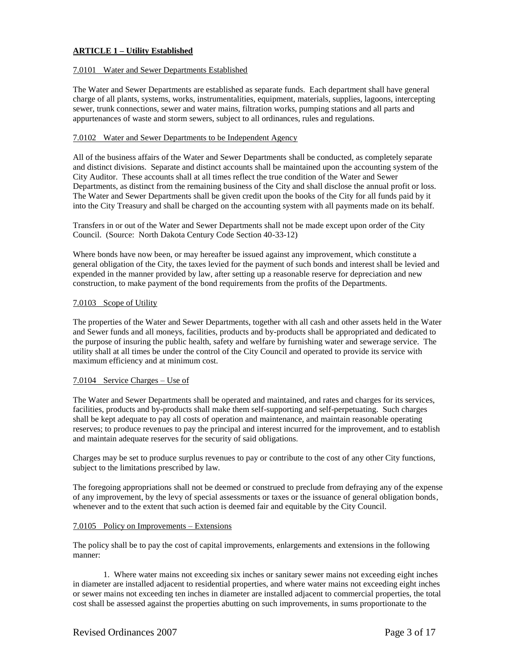# **ARTICLE 1 – Utility Established**

## 7.0101 Water and Sewer Departments Established

The Water and Sewer Departments are established as separate funds. Each department shall have general charge of all plants, systems, works, instrumentalities, equipment, materials, supplies, lagoons, intercepting sewer, trunk connections, sewer and water mains, filtration works, pumping stations and all parts and appurtenances of waste and storm sewers, subject to all ordinances, rules and regulations.

## 7.0102 Water and Sewer Departments to be Independent Agency

All of the business affairs of the Water and Sewer Departments shall be conducted, as completely separate and distinct divisions. Separate and distinct accounts shall be maintained upon the accounting system of the City Auditor. These accounts shall at all times reflect the true condition of the Water and Sewer Departments, as distinct from the remaining business of the City and shall disclose the annual profit or loss. The Water and Sewer Departments shall be given credit upon the books of the City for all funds paid by it into the City Treasury and shall be charged on the accounting system with all payments made on its behalf.

Transfers in or out of the Water and Sewer Departments shall not be made except upon order of the City Council. (Source: North Dakota Century Code Section 40-33-12)

Where bonds have now been, or may hereafter be issued against any improvement, which constitute a general obligation of the City, the taxes levied for the payment of such bonds and interest shall be levied and expended in the manner provided by law, after setting up a reasonable reserve for depreciation and new construction, to make payment of the bond requirements from the profits of the Departments.

#### 7.0103 Scope of Utility

The properties of the Water and Sewer Departments, together with all cash and other assets held in the Water and Sewer funds and all moneys, facilities, products and by-products shall be appropriated and dedicated to the purpose of insuring the public health, safety and welfare by furnishing water and sewerage service. The utility shall at all times be under the control of the City Council and operated to provide its service with maximum efficiency and at minimum cost.

#### 7.0104 Service Charges – Use of

The Water and Sewer Departments shall be operated and maintained, and rates and charges for its services, facilities, products and by-products shall make them self-supporting and self-perpetuating. Such charges shall be kept adequate to pay all costs of operation and maintenance, and maintain reasonable operating reserves; to produce revenues to pay the principal and interest incurred for the improvement, and to establish and maintain adequate reserves for the security of said obligations.

Charges may be set to produce surplus revenues to pay or contribute to the cost of any other City functions, subject to the limitations prescribed by law.

The foregoing appropriations shall not be deemed or construed to preclude from defraying any of the expense of any improvement, by the levy of special assessments or taxes or the issuance of general obligation bonds, whenever and to the extent that such action is deemed fair and equitable by the City Council.

#### 7.0105 Policy on Improvements – Extensions

The policy shall be to pay the cost of capital improvements, enlargements and extensions in the following manner:

1. Where water mains not exceeding six inches or sanitary sewer mains not exceeding eight inches in diameter are installed adjacent to residential properties, and where water mains not exceeding eight inches or sewer mains not exceeding ten inches in diameter are installed adjacent to commercial properties, the total cost shall be assessed against the properties abutting on such improvements, in sums proportionate to the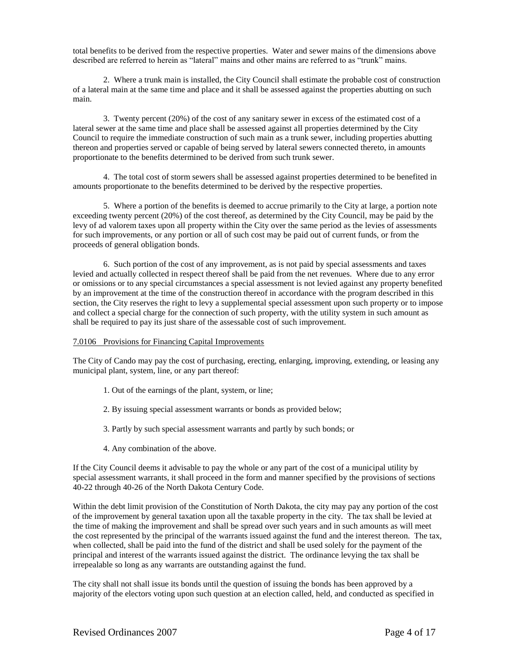total benefits to be derived from the respective properties. Water and sewer mains of the dimensions above described are referred to herein as "lateral" mains and other mains are referred to as "trunk" mains.

2. Where a trunk main is installed, the City Council shall estimate the probable cost of construction of a lateral main at the same time and place and it shall be assessed against the properties abutting on such main.

3. Twenty percent (20%) of the cost of any sanitary sewer in excess of the estimated cost of a lateral sewer at the same time and place shall be assessed against all properties determined by the City Council to require the immediate construction of such main as a trunk sewer, including properties abutting thereon and properties served or capable of being served by lateral sewers connected thereto, in amounts proportionate to the benefits determined to be derived from such trunk sewer.

4. The total cost of storm sewers shall be assessed against properties determined to be benefited in amounts proportionate to the benefits determined to be derived by the respective properties.

5. Where a portion of the benefits is deemed to accrue primarily to the City at large, a portion note exceeding twenty percent (20%) of the cost thereof, as determined by the City Council, may be paid by the levy of ad valorem taxes upon all property within the City over the same period as the levies of assessments for such improvements, or any portion or all of such cost may be paid out of current funds, or from the proceeds of general obligation bonds.

6. Such portion of the cost of any improvement, as is not paid by special assessments and taxes levied and actually collected in respect thereof shall be paid from the net revenues. Where due to any error or omissions or to any special circumstances a special assessment is not levied against any property benefited by an improvement at the time of the construction thereof in accordance with the program described in this section, the City reserves the right to levy a supplemental special assessment upon such property or to impose and collect a special charge for the connection of such property, with the utility system in such amount as shall be required to pay its just share of the assessable cost of such improvement.

7.0106 Provisions for Financing Capital Improvements

The City of Cando may pay the cost of purchasing, erecting, enlarging, improving, extending, or leasing any municipal plant, system, line, or any part thereof:

- 1. Out of the earnings of the plant, system, or line;
- 2. By issuing special assessment warrants or bonds as provided below;
- 3. Partly by such special assessment warrants and partly by such bonds; or
- 4. Any combination of the above.

If the City Council deems it advisable to pay the whole or any part of the cost of a municipal utility by special assessment warrants, it shall proceed in the form and manner specified by the provisions of sections 40-22 through 40-26 of the North Dakota Century Code.

Within the debt limit provision of the Constitution of North Dakota, the city may pay any portion of the cost of the improvement by general taxation upon all the taxable property in the city. The tax shall be levied at the time of making the improvement and shall be spread over such years and in such amounts as will meet the cost represented by the principal of the warrants issued against the fund and the interest thereon. The tax, when collected, shall be paid into the fund of the district and shall be used solely for the payment of the principal and interest of the warrants issued against the district. The ordinance levying the tax shall be irrepealable so long as any warrants are outstanding against the fund.

The city shall not shall issue its bonds until the question of issuing the bonds has been approved by a majority of the electors voting upon such question at an election called, held, and conducted as specified in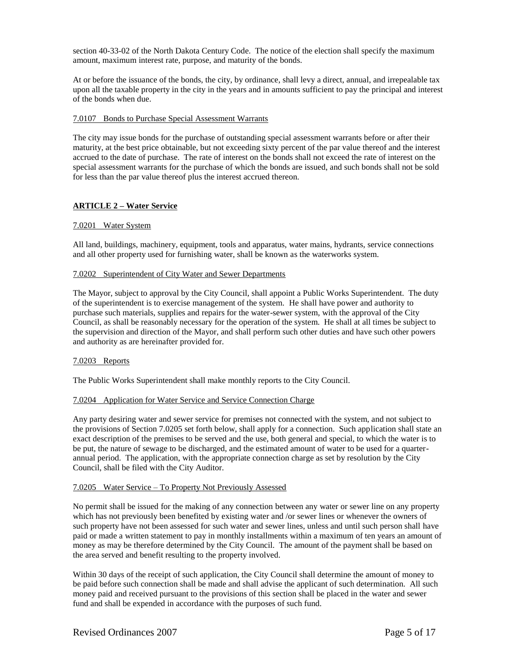section 40-33-02 of the North Dakota Century Code. The notice of the election shall specify the maximum amount, maximum interest rate, purpose, and maturity of the bonds.

At or before the issuance of the bonds, the city, by ordinance, shall levy a direct, annual, and irrepealable tax upon all the taxable property in the city in the years and in amounts sufficient to pay the principal and interest of the bonds when due.

## 7.0107 Bonds to Purchase Special Assessment Warrants

The city may issue bonds for the purchase of outstanding special assessment warrants before or after their maturity, at the best price obtainable, but not exceeding sixty percent of the par value thereof and the interest accrued to the date of purchase. The rate of interest on the bonds shall not exceed the rate of interest on the special assessment warrants for the purchase of which the bonds are issued, and such bonds shall not be sold for less than the par value thereof plus the interest accrued thereon.

# **ARTICLE 2 – Water Service**

## 7.0201 Water System

All land, buildings, machinery, equipment, tools and apparatus, water mains, hydrants, service connections and all other property used for furnishing water, shall be known as the waterworks system.

## 7.0202 Superintendent of City Water and Sewer Departments

The Mayor, subject to approval by the City Council, shall appoint a Public Works Superintendent. The duty of the superintendent is to exercise management of the system. He shall have power and authority to purchase such materials, supplies and repairs for the water-sewer system, with the approval of the City Council, as shall be reasonably necessary for the operation of the system. He shall at all times be subject to the supervision and direction of the Mayor, and shall perform such other duties and have such other powers and authority as are hereinafter provided for.

## 7.0203 Reports

The Public Works Superintendent shall make monthly reports to the City Council.

#### 7.0204 Application for Water Service and Service Connection Charge

Any party desiring water and sewer service for premises not connected with the system, and not subject to the provisions of Section 7.0205 set forth below, shall apply for a connection. Such application shall state an exact description of the premises to be served and the use, both general and special, to which the water is to be put, the nature of sewage to be discharged, and the estimated amount of water to be used for a quarterannual period. The application, with the appropriate connection charge as set by resolution by the City Council, shall be filed with the City Auditor.

# 7.0205 Water Service – To Property Not Previously Assessed

No permit shall be issued for the making of any connection between any water or sewer line on any property which has not previously been benefited by existing water and /or sewer lines or whenever the owners of such property have not been assessed for such water and sewer lines, unless and until such person shall have paid or made a written statement to pay in monthly installments within a maximum of ten years an amount of money as may be therefore determined by the City Council. The amount of the payment shall be based on the area served and benefit resulting to the property involved.

Within 30 days of the receipt of such application, the City Council shall determine the amount of money to be paid before such connection shall be made and shall advise the applicant of such determination. All such money paid and received pursuant to the provisions of this section shall be placed in the water and sewer fund and shall be expended in accordance with the purposes of such fund.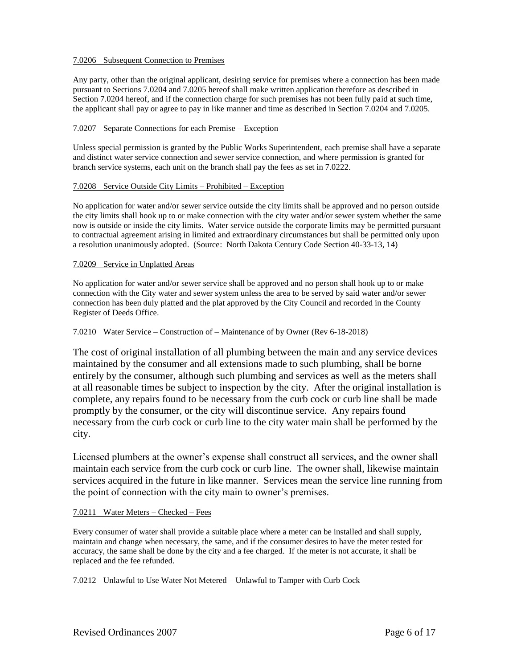# 7.0206 Subsequent Connection to Premises

Any party, other than the original applicant, desiring service for premises where a connection has been made pursuant to Sections 7.0204 and 7.0205 hereof shall make written application therefore as described in Section 7.0204 hereof, and if the connection charge for such premises has not been fully paid at such time, the applicant shall pay or agree to pay in like manner and time as described in Section 7.0204 and 7.0205.

## 7.0207 Separate Connections for each Premise – Exception

Unless special permission is granted by the Public Works Superintendent, each premise shall have a separate and distinct water service connection and sewer service connection, and where permission is granted for branch service systems, each unit on the branch shall pay the fees as set in 7.0222.

## 7.0208 Service Outside City Limits – Prohibited – Exception

No application for water and/or sewer service outside the city limits shall be approved and no person outside the city limits shall hook up to or make connection with the city water and/or sewer system whether the same now is outside or inside the city limits. Water service outside the corporate limits may be permitted pursuant to contractual agreement arising in limited and extraordinary circumstances but shall be permitted only upon a resolution unanimously adopted. (Source: North Dakota Century Code Section 40-33-13, 14)

# 7.0209 Service in Unplatted Areas

No application for water and/or sewer service shall be approved and no person shall hook up to or make connection with the City water and sewer system unless the area to be served by said water and/or sewer connection has been duly platted and the plat approved by the City Council and recorded in the County Register of Deeds Office.

# 7.0210 Water Service – Construction of – Maintenance of by Owner (Rev 6-18-2018)

The cost of original installation of all plumbing between the main and any service devices maintained by the consumer and all extensions made to such plumbing, shall be borne entirely by the consumer, although such plumbing and services as well as the meters shall at all reasonable times be subject to inspection by the city. After the original installation is complete, any repairs found to be necessary from the curb cock or curb line shall be made promptly by the consumer, or the city will discontinue service. Any repairs found necessary from the curb cock or curb line to the city water main shall be performed by the city.

Licensed plumbers at the owner's expense shall construct all services, and the owner shall maintain each service from the curb cock or curb line. The owner shall, likewise maintain services acquired in the future in like manner. Services mean the service line running from the point of connection with the city main to owner's premises.

# 7.0211 Water Meters – Checked – Fees

Every consumer of water shall provide a suitable place where a meter can be installed and shall supply, maintain and change when necessary, the same, and if the consumer desires to have the meter tested for accuracy, the same shall be done by the city and a fee charged. If the meter is not accurate, it shall be replaced and the fee refunded.

7.0212 Unlawful to Use Water Not Metered – Unlawful to Tamper with Curb Cock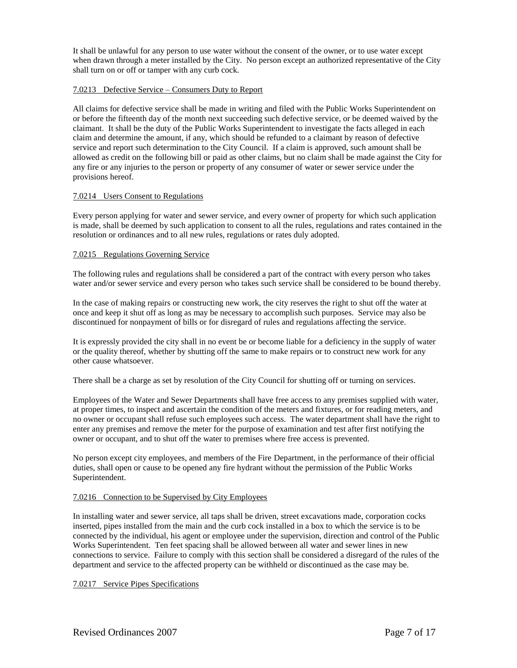It shall be unlawful for any person to use water without the consent of the owner, or to use water except when drawn through a meter installed by the City. No person except an authorized representative of the City shall turn on or off or tamper with any curb cock.

# 7.0213 Defective Service – Consumers Duty to Report

All claims for defective service shall be made in writing and filed with the Public Works Superintendent on or before the fifteenth day of the month next succeeding such defective service, or be deemed waived by the claimant. It shall be the duty of the Public Works Superintendent to investigate the facts alleged in each claim and determine the amount, if any, which should be refunded to a claimant by reason of defective service and report such determination to the City Council. If a claim is approved, such amount shall be allowed as credit on the following bill or paid as other claims, but no claim shall be made against the City for any fire or any injuries to the person or property of any consumer of water or sewer service under the provisions hereof.

## 7.0214 Users Consent to Regulations

Every person applying for water and sewer service, and every owner of property for which such application is made, shall be deemed by such application to consent to all the rules, regulations and rates contained in the resolution or ordinances and to all new rules, regulations or rates duly adopted.

#### 7.0215 Regulations Governing Service

The following rules and regulations shall be considered a part of the contract with every person who takes water and/or sewer service and every person who takes such service shall be considered to be bound thereby.

In the case of making repairs or constructing new work, the city reserves the right to shut off the water at once and keep it shut off as long as may be necessary to accomplish such purposes. Service may also be discontinued for nonpayment of bills or for disregard of rules and regulations affecting the service.

It is expressly provided the city shall in no event be or become liable for a deficiency in the supply of water or the quality thereof, whether by shutting off the same to make repairs or to construct new work for any other cause whatsoever.

There shall be a charge as set by resolution of the City Council for shutting off or turning on services.

Employees of the Water and Sewer Departments shall have free access to any premises supplied with water, at proper times, to inspect and ascertain the condition of the meters and fixtures, or for reading meters, and no owner or occupant shall refuse such employees such access. The water department shall have the right to enter any premises and remove the meter for the purpose of examination and test after first notifying the owner or occupant, and to shut off the water to premises where free access is prevented.

No person except city employees, and members of the Fire Department, in the performance of their official duties, shall open or cause to be opened any fire hydrant without the permission of the Public Works Superintendent.

## 7.0216 Connection to be Supervised by City Employees

In installing water and sewer service, all taps shall be driven, street excavations made, corporation cocks inserted, pipes installed from the main and the curb cock installed in a box to which the service is to be connected by the individual, his agent or employee under the supervision, direction and control of the Public Works Superintendent. Ten feet spacing shall be allowed between all water and sewer lines in new connections to service. Failure to comply with this section shall be considered a disregard of the rules of the department and service to the affected property can be withheld or discontinued as the case may be.

## 7.0217 Service Pipes Specifications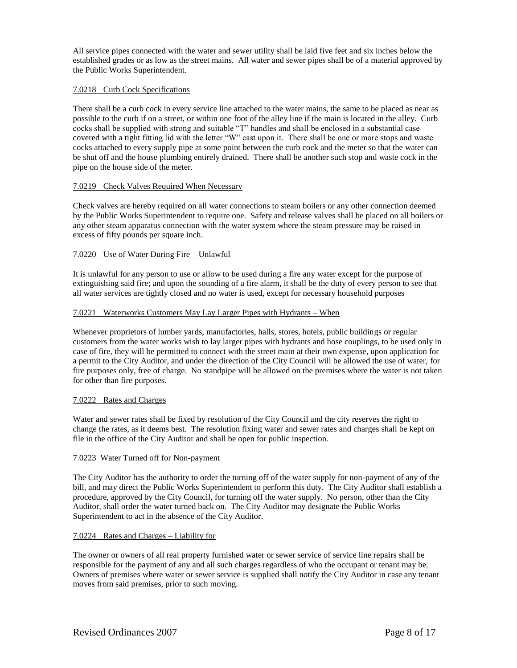All service pipes connected with the water and sewer utility shall be laid five feet and six inches below the established grades or as low as the street mains. All water and sewer pipes shall be of a material approved by the Public Works Superintendent.

# 7.0218 Curb Cock Specifications

There shall be a curb cock in every service line attached to the water mains, the same to be placed as near as possible to the curb if on a street, or within one foot of the alley line if the main is located in the alley. Curb cocks shall be supplied with strong and suitable "T" handles and shall be enclosed in a substantial case covered with a tight fitting lid with the letter "W" cast upon it. There shall be one or more stops and waste cocks attached to every supply pipe at some point between the curb cock and the meter so that the water can be shut off and the house plumbing entirely drained. There shall be another such stop and waste cock in the pipe on the house side of the meter.

## 7.0219 Check Valves Required When Necessary

Check valves are hereby required on all water connections to steam boilers or any other connection deemed by the Public Works Superintendent to require one. Safety and release valves shall be placed on all boilers or any other steam apparatus connection with the water system where the steam pressure may be raised in excess of fifty pounds per square inch.

## 7.0220 Use of Water During Fire – Unlawful

It is unlawful for any person to use or allow to be used during a fire any water except for the purpose of extinguishing said fire; and upon the sounding of a fire alarm, it shall be the duty of every person to see that all water services are tightly closed and no water is used, except for necessary household purposes

## 7.0221 Waterworks Customers May Lay Larger Pipes with Hydrants – When

Whenever proprietors of lumber yards, manufactories, halls, stores, hotels, public buildings or regular customers from the water works wish to lay larger pipes with hydrants and hose couplings, to be used only in case of fire, they will be permitted to connect with the street main at their own expense, upon application for a permit to the City Auditor, and under the direction of the City Council will be allowed the use of water, for fire purposes only, free of charge. No standpipe will be allowed on the premises where the water is not taken for other than fire purposes.

#### 7.0222 Rates and Charges

Water and sewer rates shall be fixed by resolution of the City Council and the city reserves the right to change the rates, as it deems best. The resolution fixing water and sewer rates and charges shall be kept on file in the office of the City Auditor and shall be open for public inspection.

#### 7.0223 Water Turned off for Non-payment

The City Auditor has the authority to order the turning off of the water supply for non-payment of any of the bill, and may direct the Public Works Superintendent to perform this duty. The City Auditor shall establish a procedure, approved by the City Council, for turning off the water supply. No person, other than the City Auditor, shall order the water turned back on. The City Auditor may designate the Public Works Superintendent to act in the absence of the City Auditor.

#### 7.0224 Rates and Charges – Liability for

The owner or owners of all real property furnished water or sewer service of service line repairs shall be responsible for the payment of any and all such charges regardless of who the occupant or tenant may be. Owners of premises where water or sewer service is supplied shall notify the City Auditor in case any tenant moves from said premises, prior to such moving.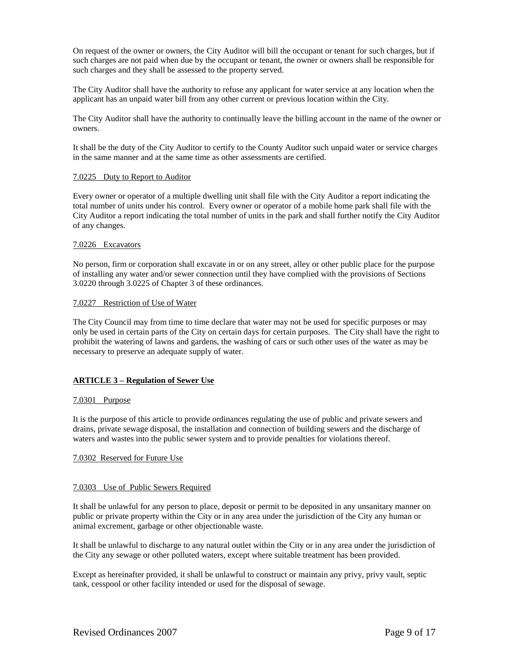On request of the owner or owners, the City Auditor will bill the occupant or tenant for such charges, but if such charges are not paid when due by the occupant or tenant, the owner or owners shall be responsible for such charges and they shall be assessed to the property served.

The City Auditor shall have the authority to refuse any applicant for water service at any location when the applicant has an unpaid water bill from any other current or previous location within the City.

The City Auditor shall have the authority to continually leave the billing account in the name of the owner or owners.

It shall be the duty of the City Auditor to certify to the County Auditor such unpaid water or service charges in the same manner and at the same time as other assessments are certified.

#### 7.0225 Duty to Report to Auditor

Every owner or operator of a multiple dwelling unit shall file with the City Auditor a report indicating the total number of units under his control. Every owner or operator of a mobile home park shall file with the City Auditor a report indicating the total number of units in the park and shall further notify the City Auditor of any changes.

#### 7.0226 Excavators

No person, firm or corporation shall excavate in or on any street, alley or other public place for the purpose of installing any water and/or sewer connection until they have complied with the provisions of Sections 3.0220 through 3.0225 of Chapter 3 of these ordinances.

#### 7.0227 Restriction of Use of Water

The City Council may from time to time declare that water may not be used for specific purposes or may only be used in certain parts of the City on certain days for certain purposes. The City shall have the right to prohibit the watering of lawns and gardens, the washing of cars or such other uses of the water as may be necessary to preserve an adequate supply of water.

#### **ARTICLE 3 – Regulation of Sewer Use**

#### 7.0301 Purpose

It is the purpose of this article to provide ordinances regulating the use of public and private sewers and drains, private sewage disposal, the installation and connection of building sewers and the discharge of waters and wastes into the public sewer system and to provide penalties for violations thereof.

#### 7.0302 Reserved for Future Use

#### 7.0303 Use of Public Sewers Required

It shall be unlawful for any person to place, deposit or permit to be deposited in any unsanitary manner on public or private property within the City or in any area under the jurisdiction of the City any human or animal excrement, garbage or other objectionable waste.

It shall be unlawful to discharge to any natural outlet within the City or in any area under the jurisdiction of the City any sewage or other polluted waters, except where suitable treatment has been provided.

Except as hereinafter provided, it shall be unlawful to construct or maintain any privy, privy vault, septic tank, cesspool or other facility intended or used for the disposal of sewage.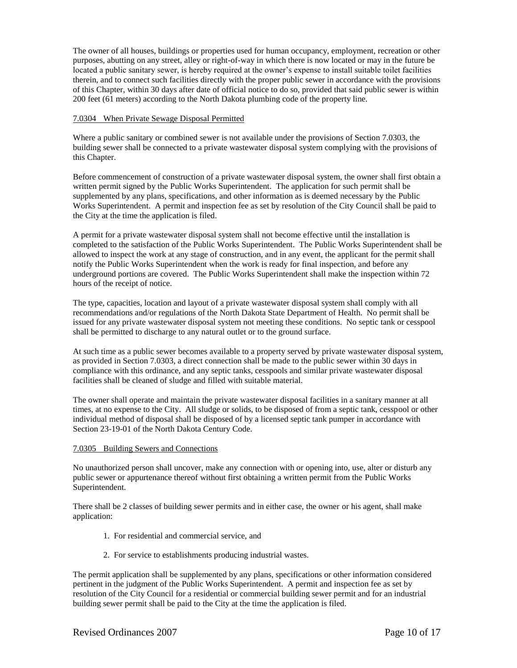The owner of all houses, buildings or properties used for human occupancy, employment, recreation or other purposes, abutting on any street, alley or right-of-way in which there is now located or may in the future be located a public sanitary sewer, is hereby required at the owner's expense to install suitable toilet facilities therein, and to connect such facilities directly with the proper public sewer in accordance with the provisions of this Chapter, within 30 days after date of official notice to do so, provided that said public sewer is within 200 feet (61 meters) according to the North Dakota plumbing code of the property line.

## 7.0304 When Private Sewage Disposal Permitted

Where a public sanitary or combined sewer is not available under the provisions of Section 7.0303, the building sewer shall be connected to a private wastewater disposal system complying with the provisions of this Chapter.

Before commencement of construction of a private wastewater disposal system, the owner shall first obtain a written permit signed by the Public Works Superintendent. The application for such permit shall be supplemented by any plans, specifications, and other information as is deemed necessary by the Public Works Superintendent. A permit and inspection fee as set by resolution of the City Council shall be paid to the City at the time the application is filed.

A permit for a private wastewater disposal system shall not become effective until the installation is completed to the satisfaction of the Public Works Superintendent. The Public Works Superintendent shall be allowed to inspect the work at any stage of construction, and in any event, the applicant for the permit shall notify the Public Works Superintendent when the work is ready for final inspection, and before any underground portions are covered. The Public Works Superintendent shall make the inspection within 72 hours of the receipt of notice.

The type, capacities, location and layout of a private wastewater disposal system shall comply with all recommendations and/or regulations of the North Dakota State Department of Health. No permit shall be issued for any private wastewater disposal system not meeting these conditions. No septic tank or cesspool shall be permitted to discharge to any natural outlet or to the ground surface.

At such time as a public sewer becomes available to a property served by private wastewater disposal system, as provided in Section 7.0303, a direct connection shall be made to the public sewer within 30 days in compliance with this ordinance, and any septic tanks, cesspools and similar private wastewater disposal facilities shall be cleaned of sludge and filled with suitable material.

The owner shall operate and maintain the private wastewater disposal facilities in a sanitary manner at all times, at no expense to the City. All sludge or solids, to be disposed of from a septic tank, cesspool or other individual method of disposal shall be disposed of by a licensed septic tank pumper in accordance with Section 23-19-01 of the North Dakota Century Code.

#### 7.0305 Building Sewers and Connections

No unauthorized person shall uncover, make any connection with or opening into, use, alter or disturb any public sewer or appurtenance thereof without first obtaining a written permit from the Public Works Superintendent.

There shall be 2 classes of building sewer permits and in either case, the owner or his agent, shall make application:

- 1. For residential and commercial service, and
- 2. For service to establishments producing industrial wastes.

The permit application shall be supplemented by any plans, specifications or other information considered pertinent in the judgment of the Public Works Superintendent. A permit and inspection fee as set by resolution of the City Council for a residential or commercial building sewer permit and for an industrial building sewer permit shall be paid to the City at the time the application is filed.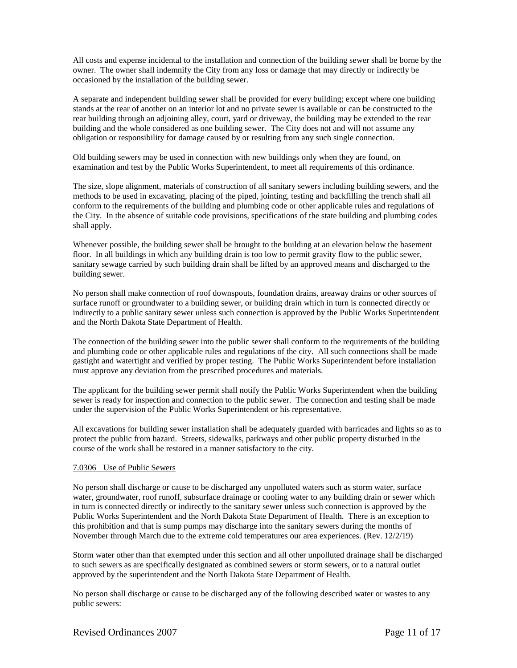All costs and expense incidental to the installation and connection of the building sewer shall be borne by the owner. The owner shall indemnify the City from any loss or damage that may directly or indirectly be occasioned by the installation of the building sewer.

A separate and independent building sewer shall be provided for every building; except where one building stands at the rear of another on an interior lot and no private sewer is available or can be constructed to the rear building through an adjoining alley, court, yard or driveway, the building may be extended to the rear building and the whole considered as one building sewer. The City does not and will not assume any obligation or responsibility for damage caused by or resulting from any such single connection.

Old building sewers may be used in connection with new buildings only when they are found, on examination and test by the Public Works Superintendent, to meet all requirements of this ordinance.

The size, slope alignment, materials of construction of all sanitary sewers including building sewers, and the methods to be used in excavating, placing of the piped, jointing, testing and backfilling the trench shall all conform to the requirements of the building and plumbing code or other applicable rules and regulations of the City. In the absence of suitable code provisions, specifications of the state building and plumbing codes shall apply.

Whenever possible, the building sewer shall be brought to the building at an elevation below the basement floor. In all buildings in which any building drain is too low to permit gravity flow to the public sewer, sanitary sewage carried by such building drain shall be lifted by an approved means and discharged to the building sewer.

No person shall make connection of roof downspouts, foundation drains, areaway drains or other sources of surface runoff or groundwater to a building sewer, or building drain which in turn is connected directly or indirectly to a public sanitary sewer unless such connection is approved by the Public Works Superintendent and the North Dakota State Department of Health.

The connection of the building sewer into the public sewer shall conform to the requirements of the building and plumbing code or other applicable rules and regulations of the city. All such connections shall be made gastight and watertight and verified by proper testing. The Public Works Superintendent before installation must approve any deviation from the prescribed procedures and materials.

The applicant for the building sewer permit shall notify the Public Works Superintendent when the building sewer is ready for inspection and connection to the public sewer. The connection and testing shall be made under the supervision of the Public Works Superintendent or his representative.

All excavations for building sewer installation shall be adequately guarded with barricades and lights so as to protect the public from hazard. Streets, sidewalks, parkways and other public property disturbed in the course of the work shall be restored in a manner satisfactory to the city.

### 7.0306 Use of Public Sewers

No person shall discharge or cause to be discharged any unpolluted waters such as storm water, surface water, groundwater, roof runoff, subsurface drainage or cooling water to any building drain or sewer which in turn is connected directly or indirectly to the sanitary sewer unless such connection is approved by the Public Works Superintendent and the North Dakota State Department of Health. There is an exception to this prohibition and that is sump pumps may discharge into the sanitary sewers during the months of November through March due to the extreme cold temperatures our area experiences. (Rev. 12/2/19)

Storm water other than that exempted under this section and all other unpolluted drainage shall be discharged to such sewers as are specifically designated as combined sewers or storm sewers, or to a natural outlet approved by the superintendent and the North Dakota State Department of Health.

No person shall discharge or cause to be discharged any of the following described water or wastes to any public sewers: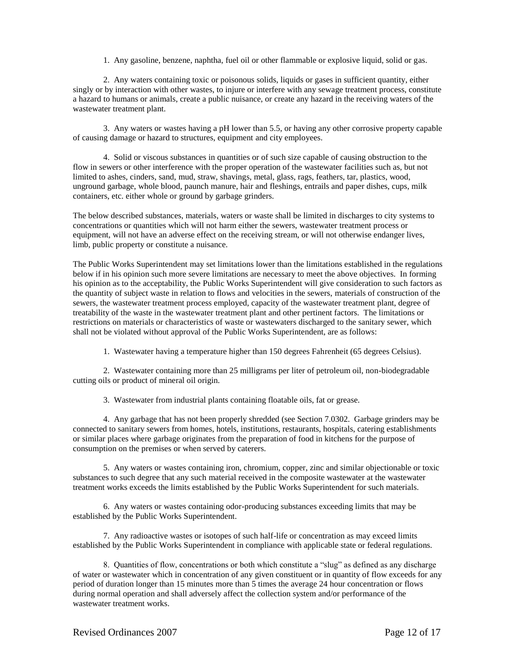1. Any gasoline, benzene, naphtha, fuel oil or other flammable or explosive liquid, solid or gas.

2. Any waters containing toxic or poisonous solids, liquids or gases in sufficient quantity, either singly or by interaction with other wastes, to injure or interfere with any sewage treatment process, constitute a hazard to humans or animals, create a public nuisance, or create any hazard in the receiving waters of the wastewater treatment plant.

3. Any waters or wastes having a pH lower than 5.5, or having any other corrosive property capable of causing damage or hazard to structures, equipment and city employees.

4. Solid or viscous substances in quantities or of such size capable of causing obstruction to the flow in sewers or other interference with the proper operation of the wastewater facilities such as, but not limited to ashes, cinders, sand, mud, straw, shavings, metal, glass, rags, feathers, tar, plastics, wood, unground garbage, whole blood, paunch manure, hair and fleshings, entrails and paper dishes, cups, milk containers, etc. either whole or ground by garbage grinders.

The below described substances, materials, waters or waste shall be limited in discharges to city systems to concentrations or quantities which will not harm either the sewers, wastewater treatment process or equipment, will not have an adverse effect on the receiving stream, or will not otherwise endanger lives, limb, public property or constitute a nuisance.

The Public Works Superintendent may set limitations lower than the limitations established in the regulations below if in his opinion such more severe limitations are necessary to meet the above objectives. In forming his opinion as to the acceptability, the Public Works Superintendent will give consideration to such factors as the quantity of subject waste in relation to flows and velocities in the sewers, materials of construction of the sewers, the wastewater treatment process employed, capacity of the wastewater treatment plant, degree of treatability of the waste in the wastewater treatment plant and other pertinent factors. The limitations or restrictions on materials or characteristics of waste or wastewaters discharged to the sanitary sewer, which shall not be violated without approval of the Public Works Superintendent, are as follows:

1. Wastewater having a temperature higher than 150 degrees Fahrenheit (65 degrees Celsius).

2. Wastewater containing more than 25 milligrams per liter of petroleum oil, non-biodegradable cutting oils or product of mineral oil origin.

3. Wastewater from industrial plants containing floatable oils, fat or grease.

4. Any garbage that has not been properly shredded (see Section 7.0302. Garbage grinders may be connected to sanitary sewers from homes, hotels, institutions, restaurants, hospitals, catering establishments or similar places where garbage originates from the preparation of food in kitchens for the purpose of consumption on the premises or when served by caterers.

5. Any waters or wastes containing iron, chromium, copper, zinc and similar objectionable or toxic substances to such degree that any such material received in the composite wastewater at the wastewater treatment works exceeds the limits established by the Public Works Superintendent for such materials.

6. Any waters or wastes containing odor-producing substances exceeding limits that may be established by the Public Works Superintendent.

7. Any radioactive wastes or isotopes of such half-life or concentration as may exceed limits established by the Public Works Superintendent in compliance with applicable state or federal regulations.

8. Quantities of flow, concentrations or both which constitute a "slug" as defined as any discharge of water or wastewater which in concentration of any given constituent or in quantity of flow exceeds for any period of duration longer than 15 minutes more than 5 times the average 24 hour concentration or flows during normal operation and shall adversely affect the collection system and/or performance of the wastewater treatment works.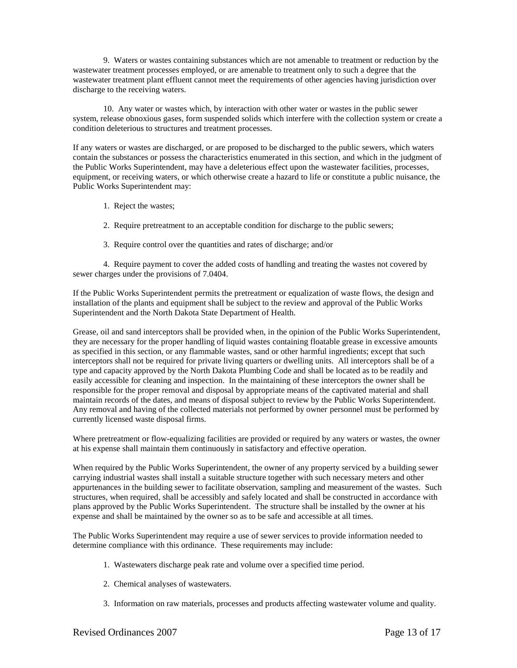9. Waters or wastes containing substances which are not amenable to treatment or reduction by the wastewater treatment processes employed, or are amenable to treatment only to such a degree that the wastewater treatment plant effluent cannot meet the requirements of other agencies having jurisdiction over discharge to the receiving waters.

10. Any water or wastes which, by interaction with other water or wastes in the public sewer system, release obnoxious gases, form suspended solids which interfere with the collection system or create a condition deleterious to structures and treatment processes.

If any waters or wastes are discharged, or are proposed to be discharged to the public sewers, which waters contain the substances or possess the characteristics enumerated in this section, and which in the judgment of the Public Works Superintendent, may have a deleterious effect upon the wastewater facilities, processes, equipment, or receiving waters, or which otherwise create a hazard to life or constitute a public nuisance, the Public Works Superintendent may:

- 1. Reject the wastes;
- 2. Require pretreatment to an acceptable condition for discharge to the public sewers;
- 3. Require control over the quantities and rates of discharge; and/or

4. Require payment to cover the added costs of handling and treating the wastes not covered by sewer charges under the provisions of 7.0404.

If the Public Works Superintendent permits the pretreatment or equalization of waste flows, the design and installation of the plants and equipment shall be subject to the review and approval of the Public Works Superintendent and the North Dakota State Department of Health.

Grease, oil and sand interceptors shall be provided when, in the opinion of the Public Works Superintendent, they are necessary for the proper handling of liquid wastes containing floatable grease in excessive amounts as specified in this section, or any flammable wastes, sand or other harmful ingredients; except that such interceptors shall not be required for private living quarters or dwelling units. All interceptors shall be of a type and capacity approved by the North Dakota Plumbing Code and shall be located as to be readily and easily accessible for cleaning and inspection. In the maintaining of these interceptors the owner shall be responsible for the proper removal and disposal by appropriate means of the captivated material and shall maintain records of the dates, and means of disposal subject to review by the Public Works Superintendent. Any removal and having of the collected materials not performed by owner personnel must be performed by currently licensed waste disposal firms.

Where pretreatment or flow-equalizing facilities are provided or required by any waters or wastes, the owner at his expense shall maintain them continuously in satisfactory and effective operation.

When required by the Public Works Superintendent, the owner of any property serviced by a building sewer carrying industrial wastes shall install a suitable structure together with such necessary meters and other appurtenances in the building sewer to facilitate observation, sampling and measurement of the wastes. Such structures, when required, shall be accessibly and safely located and shall be constructed in accordance with plans approved by the Public Works Superintendent. The structure shall be installed by the owner at his expense and shall be maintained by the owner so as to be safe and accessible at all times.

The Public Works Superintendent may require a use of sewer services to provide information needed to determine compliance with this ordinance. These requirements may include:

- 1. Wastewaters discharge peak rate and volume over a specified time period.
- 2. Chemical analyses of wastewaters.
- 3. Information on raw materials, processes and products affecting wastewater volume and quality.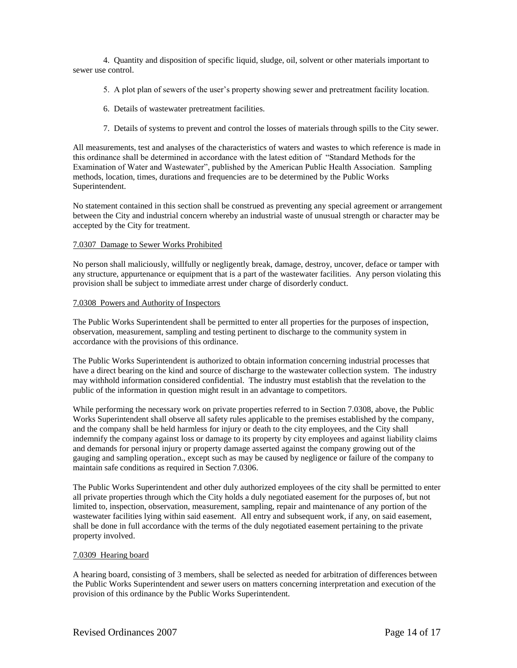4. Quantity and disposition of specific liquid, sludge, oil, solvent or other materials important to sewer use control.

- 5. A plot plan of sewers of the user's property showing sewer and pretreatment facility location.
- 6. Details of wastewater pretreatment facilities.
- 7. Details of systems to prevent and control the losses of materials through spills to the City sewer.

All measurements, test and analyses of the characteristics of waters and wastes to which reference is made in this ordinance shall be determined in accordance with the latest edition of "Standard Methods for the Examination of Water and Wastewater", published by the American Public Health Association. Sampling methods, location, times, durations and frequencies are to be determined by the Public Works Superintendent.

No statement contained in this section shall be construed as preventing any special agreement or arrangement between the City and industrial concern whereby an industrial waste of unusual strength or character may be accepted by the City for treatment.

#### 7.0307 Damage to Sewer Works Prohibited

No person shall maliciously, willfully or negligently break, damage, destroy, uncover, deface or tamper with any structure, appurtenance or equipment that is a part of the wastewater facilities. Any person violating this provision shall be subject to immediate arrest under charge of disorderly conduct.

## 7.0308 Powers and Authority of Inspectors

The Public Works Superintendent shall be permitted to enter all properties for the purposes of inspection, observation, measurement, sampling and testing pertinent to discharge to the community system in accordance with the provisions of this ordinance.

The Public Works Superintendent is authorized to obtain information concerning industrial processes that have a direct bearing on the kind and source of discharge to the wastewater collection system. The industry may withhold information considered confidential. The industry must establish that the revelation to the public of the information in question might result in an advantage to competitors.

While performing the necessary work on private properties referred to in Section 7.0308, above, the Public Works Superintendent shall observe all safety rules applicable to the premises established by the company, and the company shall be held harmless for injury or death to the city employees, and the City shall indemnify the company against loss or damage to its property by city employees and against liability claims and demands for personal injury or property damage asserted against the company growing out of the gauging and sampling operation., except such as may be caused by negligence or failure of the company to maintain safe conditions as required in Section 7.0306.

The Public Works Superintendent and other duly authorized employees of the city shall be permitted to enter all private properties through which the City holds a duly negotiated easement for the purposes of, but not limited to, inspection, observation, measurement, sampling, repair and maintenance of any portion of the wastewater facilities lying within said easement. All entry and subsequent work, if any, on said easement, shall be done in full accordance with the terms of the duly negotiated easement pertaining to the private property involved.

# 7.0309 Hearing board

A hearing board, consisting of 3 members, shall be selected as needed for arbitration of differences between the Public Works Superintendent and sewer users on matters concerning interpretation and execution of the provision of this ordinance by the Public Works Superintendent.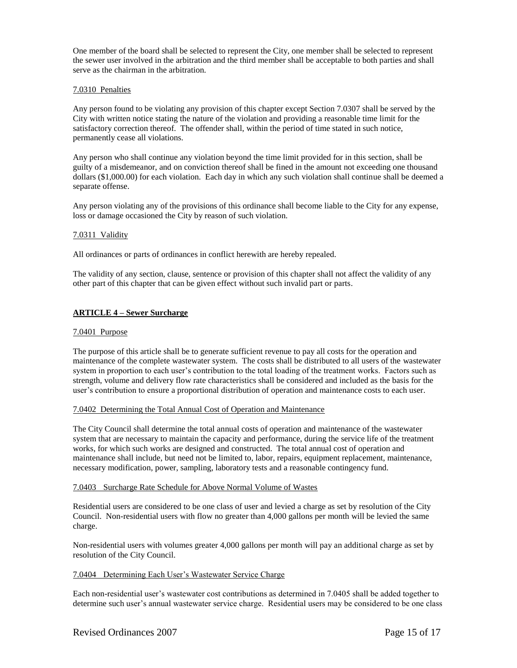One member of the board shall be selected to represent the City, one member shall be selected to represent the sewer user involved in the arbitration and the third member shall be acceptable to both parties and shall serve as the chairman in the arbitration.

### 7.0310 Penalties

Any person found to be violating any provision of this chapter except Section 7.0307 shall be served by the City with written notice stating the nature of the violation and providing a reasonable time limit for the satisfactory correction thereof. The offender shall, within the period of time stated in such notice, permanently cease all violations.

Any person who shall continue any violation beyond the time limit provided for in this section, shall be guilty of a misdemeanor, and on conviction thereof shall be fined in the amount not exceeding one thousand dollars (\$1,000.00) for each violation. Each day in which any such violation shall continue shall be deemed a separate offense.

Any person violating any of the provisions of this ordinance shall become liable to the City for any expense, loss or damage occasioned the City by reason of such violation.

#### 7.0311 Validity

All ordinances or parts of ordinances in conflict herewith are hereby repealed.

The validity of any section, clause, sentence or provision of this chapter shall not affect the validity of any other part of this chapter that can be given effect without such invalid part or parts.

# **ARTICLE 4 – Sewer Surcharge**

#### 7.0401 Purpose

The purpose of this article shall be to generate sufficient revenue to pay all costs for the operation and maintenance of the complete wastewater system. The costs shall be distributed to all users of the wastewater system in proportion to each user's contribution to the total loading of the treatment works. Factors such as strength, volume and delivery flow rate characteristics shall be considered and included as the basis for the user's contribution to ensure a proportional distribution of operation and maintenance costs to each user.

#### 7.0402 Determining the Total Annual Cost of Operation and Maintenance

The City Council shall determine the total annual costs of operation and maintenance of the wastewater system that are necessary to maintain the capacity and performance, during the service life of the treatment works, for which such works are designed and constructed. The total annual cost of operation and maintenance shall include, but need not be limited to, labor, repairs, equipment replacement, maintenance, necessary modification, power, sampling, laboratory tests and a reasonable contingency fund.

### 7.0403 Surcharge Rate Schedule for Above Normal Volume of Wastes

Residential users are considered to be one class of user and levied a charge as set by resolution of the City Council. Non-residential users with flow no greater than 4,000 gallons per month will be levied the same charge.

Non-residential users with volumes greater 4,000 gallons per month will pay an additional charge as set by resolution of the City Council.

#### 7.0404 Determining Each User's Wastewater Service Charge

Each non-residential user's wastewater cost contributions as determined in 7.0405 shall be added together to determine such user's annual wastewater service charge. Residential users may be considered to be one class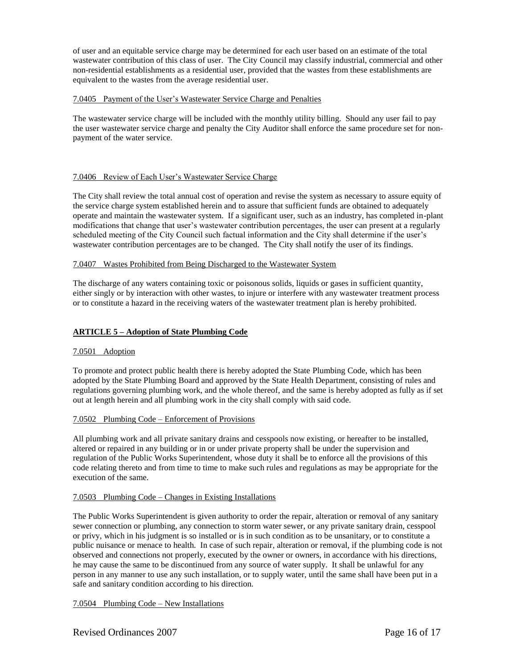of user and an equitable service charge may be determined for each user based on an estimate of the total wastewater contribution of this class of user. The City Council may classify industrial, commercial and other non-residential establishments as a residential user, provided that the wastes from these establishments are equivalent to the wastes from the average residential user.

# 7.0405 Payment of the User's Wastewater Service Charge and Penalties

The wastewater service charge will be included with the monthly utility billing. Should any user fail to pay the user wastewater service charge and penalty the City Auditor shall enforce the same procedure set for nonpayment of the water service.

## 7.0406 Review of Each User's Wastewater Service Charge

The City shall review the total annual cost of operation and revise the system as necessary to assure equity of the service charge system established herein and to assure that sufficient funds are obtained to adequately operate and maintain the wastewater system. If a significant user, such as an industry, has completed in-plant modifications that change that user's wastewater contribution percentages, the user can present at a regularly scheduled meeting of the City Council such factual information and the City shall determine if the user's wastewater contribution percentages are to be changed. The City shall notify the user of its findings.

## 7.0407 Wastes Prohibited from Being Discharged to the Wastewater System

The discharge of any waters containing toxic or poisonous solids, liquids or gases in sufficient quantity, either singly or by interaction with other wastes, to injure or interfere with any wastewater treatment process or to constitute a hazard in the receiving waters of the wastewater treatment plan is hereby prohibited.

## **ARTICLE 5 – Adoption of State Plumbing Code**

#### 7.0501 Adoption

To promote and protect public health there is hereby adopted the State Plumbing Code, which has been adopted by the State Plumbing Board and approved by the State Health Department, consisting of rules and regulations governing plumbing work, and the whole thereof, and the same is hereby adopted as fully as if set out at length herein and all plumbing work in the city shall comply with said code.

#### 7.0502 Plumbing Code – Enforcement of Provisions

All plumbing work and all private sanitary drains and cesspools now existing, or hereafter to be installed, altered or repaired in any building or in or under private property shall be under the supervision and regulation of the Public Works Superintendent, whose duty it shall be to enforce all the provisions of this code relating thereto and from time to time to make such rules and regulations as may be appropriate for the execution of the same.

#### 7.0503 Plumbing Code – Changes in Existing Installations

The Public Works Superintendent is given authority to order the repair, alteration or removal of any sanitary sewer connection or plumbing, any connection to storm water sewer, or any private sanitary drain, cesspool or privy, which in his judgment is so installed or is in such condition as to be unsanitary, or to constitute a public nuisance or menace to health. In case of such repair, alteration or removal, if the plumbing code is not observed and connections not properly, executed by the owner or owners, in accordance with his directions, he may cause the same to be discontinued from any source of water supply. It shall be unlawful for any person in any manner to use any such installation, or to supply water, until the same shall have been put in a safe and sanitary condition according to his direction.

### 7.0504 Plumbing Code – New Installations